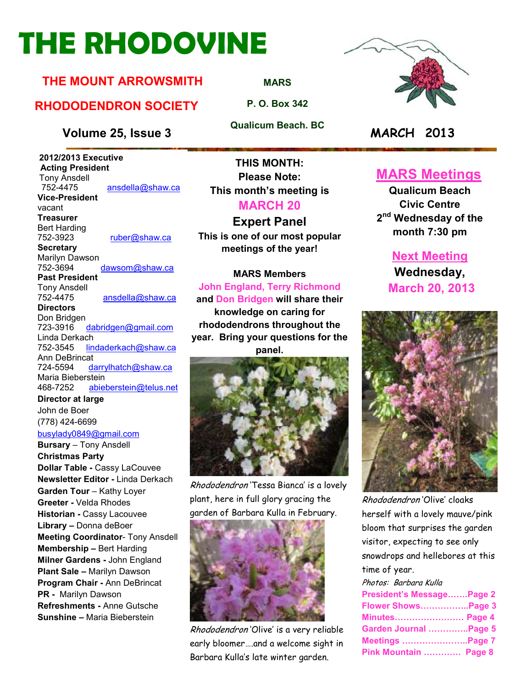# **THE RHODOVINE**

#### **THE MOUNT ARROWSMITH**

#### **RHODODENDRON SOCIETY**

**Volume 25, Issue 3 MARCH 2013**

 **2012/2013 Executive Acting President Tony Ansdell**<br>752-4475 ansdella@shaw.ca **Vice-President**  vacant **Treasurer**  Bert Harding<br>752-3923 ruber@shaw.ca **Secretary** Marilyn Dawson 752-3694 dawsom@shaw.ca **Past President**  Tony Ansdell ansdella@shaw.ca **Directors**  Don Bridgen<br>723-3916 dabridgen@gmail.com Linda Derkach 752-3545 lindaderkach@shaw.ca

Ann DeBrincat 724-5594 darrylhatch@shaw.ca Maria Bieberstein 468-7252 abieberstein@telus.net

**Director at large**  John de Boer (778) 424-6699 busylady0849@gmail.com

**Bursary** – Tony Ansdell **Christmas Party Dollar Table -** Cassy LaCouvee **Newsletter Editor -** Linda Derkach **Garden Tour** – Kathy Loyer **Greeter -** Velda Rhodes **Historian -** Cassy Lacouvee **Library –** Donna deBoer **Meeting Coordinator**- Tony Ansdell **Membership –** Bert Harding **Milner Gardens -** John England **Plant Sale –** Marilyn Dawson **Program Chair -** Ann DeBrincat **PR -** Marilyn Dawson **Refreshments -** Anne Gutsche **Sunshine –** Maria Bieberstein

**THIS MONTH: Please Note: This month's meeting is MARCH 20** 

#### **Expert Panel**

**This is one of our most popular meetings of the year!** 

**MARS Members John England, Terry Richmond and Don Bridgen will share their** 

**knowledge on caring for rhododendrons throughout the year. Bring your questions for the panel.** 



Rhododendron 'Tessa Bianca' is a lovely plant, here in full glory gracing the garden of Barbara Kulla in February.



Rhododendron 'Olive' is a very reliable early bloomer….and a welcome sight in Barbara Kulla's late winter garden.

# **MARS Meetings**

**Qualicum Beach Civic Centre 2 nd Wednesday of the month 7:30 pm** 

> **Next Meeting Wednesday, March 20, 2013**



Rhododendron 'Olive' cloaks herself with a lovely mauve/pink bloom that surprises the garden visitor, expecting to see only snowdrops and hellebores at this time of year.

Photos: Barbara Kulla **President's Message.......Page 2 Flower Shows..................Page 3 Minutes......................... Page 4 Garden Journal ..............Page 5 Meetings ............................Page 7 Pink Mountain ............. Page 8** 

**MARS**

**P. O. Box 342** 

**Qualicum Beach. BC** 

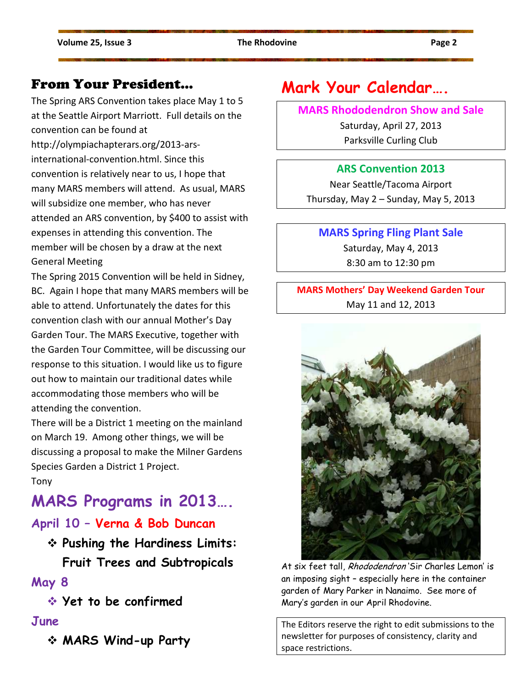#### From Your President…

The Spring ARS Convention takes place May 1 to 5 at the Seattle Airport Marriott. Full details on the convention can be found at http://olympiachapterars.org/2013-arsinternational-convention.html. Since this convention is relatively near to us, I hope that many MARS members will attend. As usual, MARS will subsidize one member, who has never attended an ARS convention, by \$400 to assist with expenses in attending this convention. The member will be chosen by a draw at the next General Meeting

The Spring 2015 Convention will be held in Sidney, BC. Again I hope that many MARS members will be able to attend. Unfortunately the dates for this convention clash with our annual Mother's Day Garden Tour. The MARS Executive, together with the Garden Tour Committee, will be discussing our response to this situation. I would like us to figure out how to maintain our traditional dates while accommodating those members who will be attending the convention.

There will be a District 1 meeting on the mainland on March 19. Among other things, we will be discussing a proposal to make the Milner Gardens Species Garden a District 1 Project.

Tony

## **MARS Programs in 2013….**

#### **April 10 – Verna & Bob Duncan**

 **Pushing the Hardiness Limits: Fruit Trees and Subtropicals** 

#### **May 8**

**Yet to be confirmed**

#### **June**

**MARS Wind-up Party** 

## **Mark Your Calendar….**

#### **MARS Rhododendron Show and Sale**

Saturday, April 27, 2013 Parksville Curling Club

#### **ARS Convention 2013**

Near Seattle/Tacoma Airport Thursday, May 2 – Sunday, May 5, 2013

#### **MARS Spring Fling Plant Sale**

Saturday, May 4, 2013 8:30 am to 12:30 pm

#### **MARS Mothers' Day Weekend Garden Tour**  May 11 and 12, 2013



At six feet tall, Rhododendron 'Sir Charles Lemon' is an imposing sight – especially here in the container garden of Mary Parker in Nanaimo. See more of Mary's garden in our April Rhodovine.

The Editors reserve the right to edit submissions to the newsletter for purposes of consistency, clarity and space restrictions.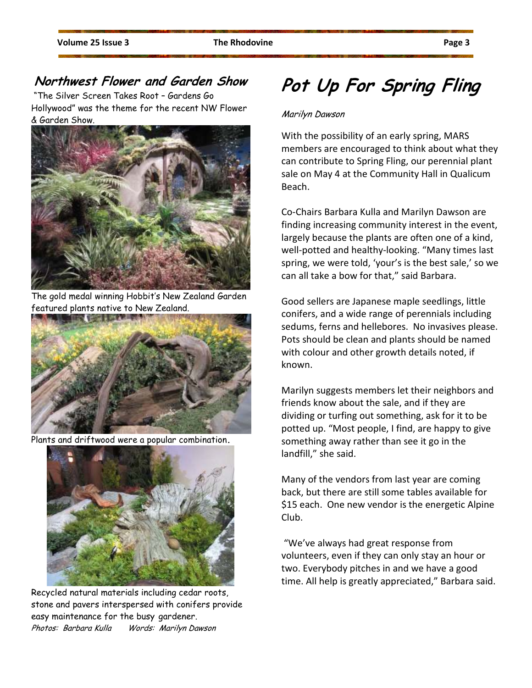#### **Northwest Flower and Garden Show**

 "The Silver Screen Takes Root – Gardens Go Hollywood" was the theme for the recent NW Flower & Garden Show.



The gold medal winning Hobbit's New Zealand Garden featured plants native to New Zealand.



Plants and driftwood were a popular combination**.**



Recycled natural materials including cedar roots, stone and pavers interspersed with conifers provide easy maintenance for the busy gardener. Photos: Barbara Kulla Words: Marilyn Dawson

## **Pot Up For Spring Fling**

#### Marilyn Dawson

With the possibility of an early spring, MARS members are encouraged to think about what they can contribute to Spring Fling, our perennial plant sale on May 4 at the Community Hall in Qualicum Beach.

Co-Chairs Barbara Kulla and Marilyn Dawson are finding increasing community interest in the event, largely because the plants are often one of a kind, well-potted and healthy-looking. "Many times last spring, we were told, 'your's is the best sale,' so we can all take a bow for that," said Barbara.

Good sellers are Japanese maple seedlings, little conifers, and a wide range of perennials including sedums, ferns and hellebores. No invasives please. Pots should be clean and plants should be named with colour and other growth details noted, if known.

Marilyn suggests members let their neighbors and friends know about the sale, and if they are dividing or turfing out something, ask for it to be potted up. "Most people, I find, are happy to give something away rather than see it go in the landfill," she said.

Many of the vendors from last year are coming back, but there are still some tables available for \$15 each. One new vendor is the energetic Alpine Club.

 "We've always had great response from volunteers, even if they can only stay an hour or two. Everybody pitches in and we have a good time. All help is greatly appreciated," Barbara said.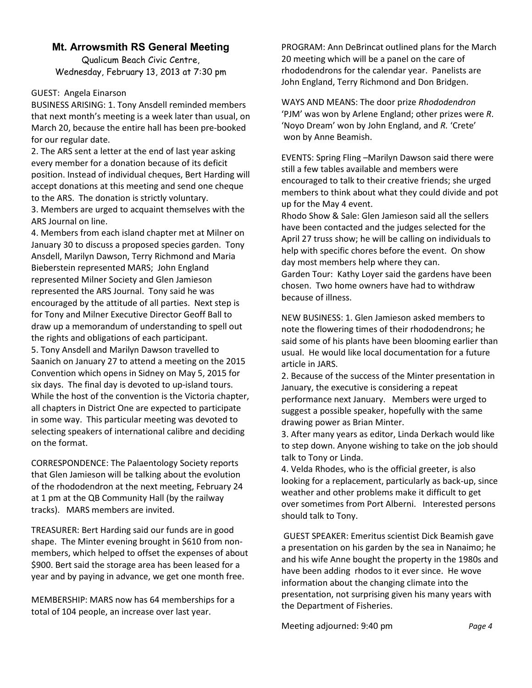#### **Mt. Arrowsmith RS General Meeting**

Qualicum Beach Civic Centre, Wednesday, February 13, 2013 at 7:30 pm

#### GUEST: Angela Einarson

BUSINESS ARISING: 1. Tony Ansdell reminded members that next month's meeting is a week later than usual, on March 20, because the entire hall has been pre-booked for our regular date.

2. The ARS sent a letter at the end of last year asking every member for a donation because of its deficit position. Instead of individual cheques, Bert Harding will accept donations at this meeting and send one cheque to the ARS. The donation is strictly voluntary. 3. Members are urged to acquaint themselves with the ARS Journal on line.

4. Members from each island chapter met at Milner on January 30 to discuss a proposed species garden. Tony Ansdell, Marilyn Dawson, Terry Richmond and Maria Bieberstein represented MARS; John England represented Milner Society and Glen Jamieson represented the ARS Journal. Tony said he was encouraged by the attitude of all parties. Next step is for Tony and Milner Executive Director Geoff Ball to draw up a memorandum of understanding to spell out the rights and obligations of each participant. 5. Tony Ansdell and Marilyn Dawson travelled to Saanich on January 27 to attend a meeting on the 2015 Convention which opens in Sidney on May 5, 2015 for six days. The final day is devoted to up-island tours. While the host of the convention is the Victoria chapter, all chapters in District One are expected to participate in some way. This particular meeting was devoted to selecting speakers of international calibre and deciding on the format.

CORRESPONDENCE: The Palaentology Society reports that Glen Jamieson will be talking about the evolution of the rhododendron at the next meeting, February 24 at 1 pm at the QB Community Hall (by the railway tracks). MARS members are invited.

TREASURER: Bert Harding said our funds are in good shape. The Minter evening brought in \$610 from nonmembers, which helped to offset the expenses of about \$900. Bert said the storage area has been leased for a year and by paying in advance, we get one month free.

MEMBERSHIP: MARS now has 64 memberships for a total of 104 people, an increase over last year.

PROGRAM: Ann DeBrincat outlined plans for the March 20 meeting which will be a panel on the care of rhododendrons for the calendar year. Panelists are John England, Terry Richmond and Don Bridgen.

WAYS AND MEANS: The door prize *Rhododendron*  'PJM' was won by Arlene England; other prizes were *R*. 'Noyo Dream' won by John England, and *R.* 'Crete' won by Anne Beamish.

EVENTS: Spring Fling –Marilyn Dawson said there were still a few tables available and members were encouraged to talk to their creative friends; she urged members to think about what they could divide and pot up for the May 4 event.

Rhodo Show & Sale: Glen Jamieson said all the sellers have been contacted and the judges selected for the April 27 truss show; he will be calling on individuals to help with specific chores before the event. On show day most members help where they can. Garden Tour: Kathy Loyer said the gardens have been chosen. Two home owners have had to withdraw because of illness.

NEW BUSINESS: 1. Glen Jamieson asked members to note the flowering times of their rhododendrons; he said some of his plants have been blooming earlier than usual. He would like local documentation for a future article in JARS.

2. Because of the success of the Minter presentation in January, the executive is considering a repeat performance next January. Members were urged to suggest a possible speaker, hopefully with the same drawing power as Brian Minter.

3. After many years as editor, Linda Derkach would like to step down. Anyone wishing to take on the job should talk to Tony or Linda.

4. Velda Rhodes, who is the official greeter, is also looking for a replacement, particularly as back-up, since weather and other problems make it difficult to get over sometimes from Port Alberni. Interested persons should talk to Tony.

 GUEST SPEAKER: Emeritus scientist Dick Beamish gave a presentation on his garden by the sea in Nanaimo; he and his wife Anne bought the property in the 1980s and have been adding rhodos to it ever since. He wove information about the changing climate into the presentation, not surprising given his many years with the Department of Fisheries.

Meeting adjourned: 9:40 pm *Page 4*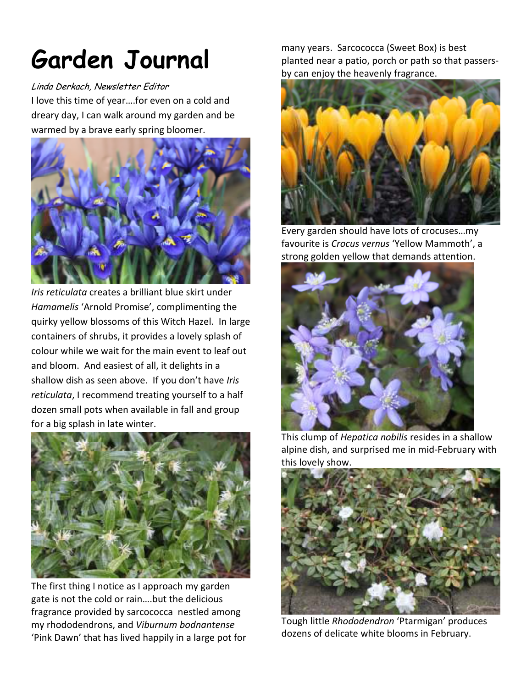# **Garden Journal**

#### Linda Derkach, Newsletter Editor

I love this time of year….for even on a cold and dreary day, I can walk around my garden and be warmed by a brave early spring bloomer.



*Iris reticulata* creates a brilliant blue skirt under *Hamamelis* 'Arnold Promise', complimenting the quirky yellow blossoms of this Witch Hazel. In large containers of shrubs, it provides a lovely splash of colour while we wait for the main event to leaf out and bloom. And easiest of all, it delights in a shallow dish as seen above. If you don't have *Iris reticulata*, I recommend treating yourself to a half dozen small pots when available in fall and group for a big splash in late winter.



The first thing I notice as I approach my garden gate is not the cold or rain….but the delicious fragrance provided by sarcococca nestled among my rhododendrons, and *Viburnum bodnantense* 'Pink Dawn' that has lived happily in a large pot for

many years. Sarcococca (Sweet Box) is best planted near a patio, porch or path so that passersby can enjoy the heavenly fragrance.



Every garden should have lots of crocuses…my favourite is *Crocus vernus* 'Yellow Mammoth', a strong golden yellow that demands attention.



This clump of *Hepatica nobilis* resides in a shallow alpine dish, and surprised me in mid-February with this lovely show.



Tough little *Rhododendron* 'Ptarmigan' produces dozens of delicate white blooms in February.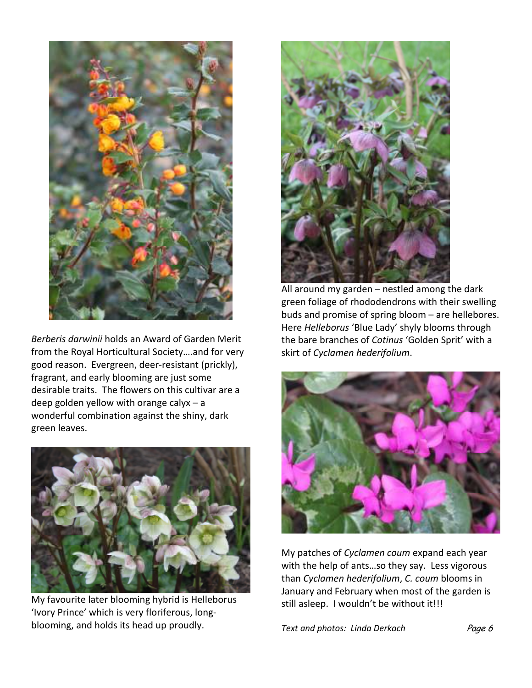

*Berberis darwinii* holds an Award of Garden Merit from the Royal Horticultural Society….and for very good reason. Evergreen, deer-resistant (prickly), fragrant, and early blooming are just some desirable traits. The flowers on this cultivar are a deep golden yellow with orange calyx – a wonderful combination against the shiny, dark green leaves.



My favourite later blooming hybrid is Helleborus 'Ivory Prince' which is very floriferous, longblooming, and holds its head up proudly.



All around my garden – nestled among the dark green foliage of rhododendrons with their swelling buds and promise of spring bloom – are hellebores. Here *Helleborus* 'Blue Lady' shyly blooms through the bare branches of *Cotinus* 'Golden Sprit' with a skirt of *Cyclamen hederifolium*.



My patches of *Cyclamen coum* expand each year with the help of ants…so they say. Less vigorous than *Cyclamen hederifolium*, *C. coum* blooms in January and February when most of the garden is still asleep. I wouldn't be without it!!!

**Text and photos: Linda Derkach Page 6**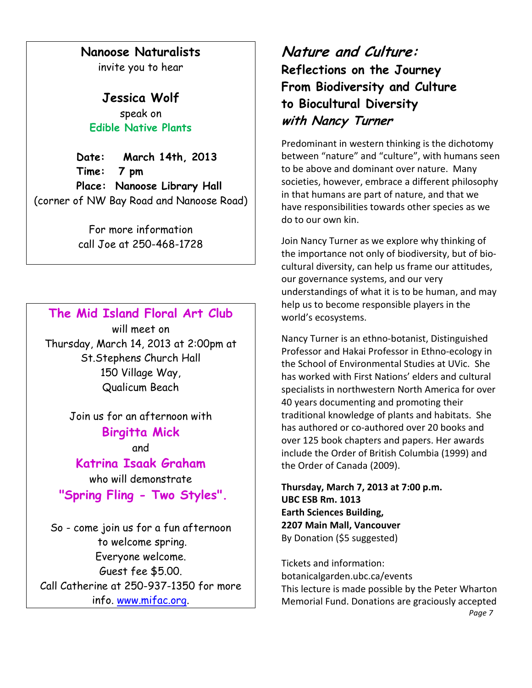#### **Nanoose Naturalists**

invite you to hear

**Jessica Wolf**  speak on **Edible Native Plants** 

 **Date: March 14th, 2013 Time: 7 pm Place: Nanoose Library Hall**  (corner of NW Bay Road and Nanoose Road)

> For more information call Joe at 250-468-1728

#### **The Mid Island Floral Art Club**

will meet on Thursday, March 14, 2013 at 2:00pm at St.Stephens Church Hall 150 Village Way, Qualicum Beach

> Join us for an afternoon with **Birgitta Mick**

> > and

**Katrina Isaak Graham** who will demonstrate  **"Spring Fling - Two Styles".** 

So - come join us for a fun afternoon to welcome spring. Everyone welcome. Guest fee \$5.00. Call Catherine at 250-937-1350 for more info. www.mifac.org.

### **Nature and Culture: Reflections on the Journey From Biodiversity and Culture to Biocultural Diversity with Nancy Turner**

Predominant in western thinking is the dichotomy between "nature" and "culture", with humans seen to be above and dominant over nature. Many societies, however, embrace a different philosophy in that humans are part of nature, and that we have responsibilities towards other species as we do to our own kin.

Join Nancy Turner as we explore why thinking of the importance not only of biodiversity, but of biocultural diversity, can help us frame our attitudes, our governance systems, and our very understandings of what it is to be human, and may help us to become responsible players in the world's ecosystems.

Nancy Turner is an ethno-botanist, Distinguished Professor and Hakai Professor in Ethno-ecology in the School of Environmental Studies at UVic. She has worked with First Nations' elders and cultural specialists in northwestern North America for over 40 years documenting and promoting their traditional knowledge of plants and habitats. She has authored or co-authored over 20 books and over 125 book chapters and papers. Her awards include the Order of British Columbia (1999) and the Order of Canada (2009).

**Thursday, March 7, 2013 at 7:00 p.m. UBC ESB Rm. 1013 Earth Sciences Building, 2207 Main Mall, Vancouver**  By Donation (\$5 suggested)

Tickets and information: botanicalgarden.ubc.ca/events This lecture is made possible by the Peter Wharton Memorial Fund. Donations are graciously accepted *Page 7*